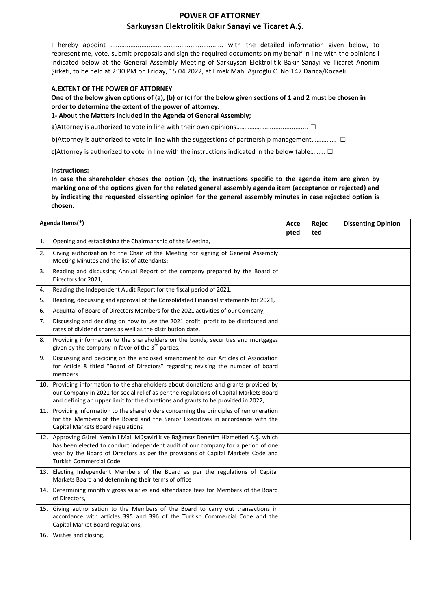# **POWER OF ATTORNEY Sarkuysan Elektrolitik Bakır Sanayi ve Ticaret A.Ş.**

I hereby appoint .............................................................. with the detailed information given below, to represent me, vote, submit proposals and sign the required documents on my behalf in line with the opinions I indicated below at the General Assembly Meeting of Sarkuysan Elektrolitik Bakır Sanayi ve Ticaret Anonim Şirketi, to be held at 2:30 PM on Friday, 15.04.2022, at Emek Mah. Aşıroğlu C. No:147 Darıca/Kocaeli.

#### **A.EXTENT OF THE POWER OF ATTORNEY**

**One of the below given options of (a), (b) or (c) for the below given sections of 1 and 2 must be chosen in order to determine the extent of the power of attorney.**

**1- About the Matters Included in the Agenda of General Assembly;**

**a)**Attorney is authorized to vote in line with their own opinions……………………………………… □

**b)**Attorney is authorized to vote in line with the suggestions of partnership management.......................

**c)**Attorney is authorized to vote in line with the instructions indicated in the below table……… □

**Instructions:**

**In case the shareholder choses the option (c), the instructions specific to the agenda item are given by marking one of the options given for the related general assembly agenda item (acceptance or rejected) and by indicating the requested dissenting opinion for the general assembly minutes in case rejected option is chosen.**

| Agenda Items(*) |                                                                                                                                                                                                                                                                                            | Acce | Rejec | <b>Dissenting Opinion</b> |
|-----------------|--------------------------------------------------------------------------------------------------------------------------------------------------------------------------------------------------------------------------------------------------------------------------------------------|------|-------|---------------------------|
|                 |                                                                                                                                                                                                                                                                                            | pted | ted   |                           |
| 1.              | Opening and establishing the Chairmanship of the Meeting,                                                                                                                                                                                                                                  |      |       |                           |
| 2.              | Giving authorization to the Chair of the Meeting for signing of General Assembly<br>Meeting Minutes and the list of attendants;                                                                                                                                                            |      |       |                           |
| 3.              | Reading and discussing Annual Report of the company prepared by the Board of<br>Directors for 2021,                                                                                                                                                                                        |      |       |                           |
| 4.              | Reading the Independent Audit Report for the fiscal period of 2021,                                                                                                                                                                                                                        |      |       |                           |
| 5.              | Reading, discussing and approval of the Consolidated Financial statements for 2021,                                                                                                                                                                                                        |      |       |                           |
| 6.              | Acquittal of Board of Directors Members for the 2021 activities of our Company,                                                                                                                                                                                                            |      |       |                           |
| 7.              | Discussing and deciding on how to use the 2021 profit, profit to be distributed and<br>rates of dividend shares as well as the distribution date,                                                                                                                                          |      |       |                           |
| 8.              | Providing information to the shareholders on the bonds, securities and mortgages<br>given by the company in favor of the $3^{rd}$ parties,                                                                                                                                                 |      |       |                           |
| 9.              | Discussing and deciding on the enclosed amendment to our Articles of Association<br>for Article 8 titled "Board of Directors" regarding revising the number of board<br>members                                                                                                            |      |       |                           |
|                 | 10. Providing information to the shareholders about donations and grants provided by<br>our Company in 2021 for social relief as per the regulations of Capital Markets Board<br>and defining an upper limit for the donations and grants to be provided in 2022,                          |      |       |                           |
|                 | 11. Providing information to the shareholders concerning the principles of remuneration<br>for the Members of the Board and the Senior Executives in accordance with the<br>Capital Markets Board regulations                                                                              |      |       |                           |
|                 | 12. Approving Güreli Yeminli Mali Müşavirlik ve Bağımsız Denetim Hizmetleri A.Ş. which<br>has been elected to conduct independent audit of our company for a period of one<br>year by the Board of Directors as per the provisions of Capital Markets Code and<br>Turkish Commercial Code. |      |       |                           |
|                 | 13. Electing Independent Members of the Board as per the regulations of Capital<br>Markets Board and determining their terms of office                                                                                                                                                     |      |       |                           |
|                 | 14. Determining monthly gross salaries and attendance fees for Members of the Board<br>of Directors,                                                                                                                                                                                       |      |       |                           |
|                 | 15. Giving authorisation to the Members of the Board to carry out transactions in<br>accordance with articles 395 and 396 of the Turkish Commercial Code and the<br>Capital Market Board regulations,                                                                                      |      |       |                           |
|                 | 16. Wishes and closing.                                                                                                                                                                                                                                                                    |      |       |                           |